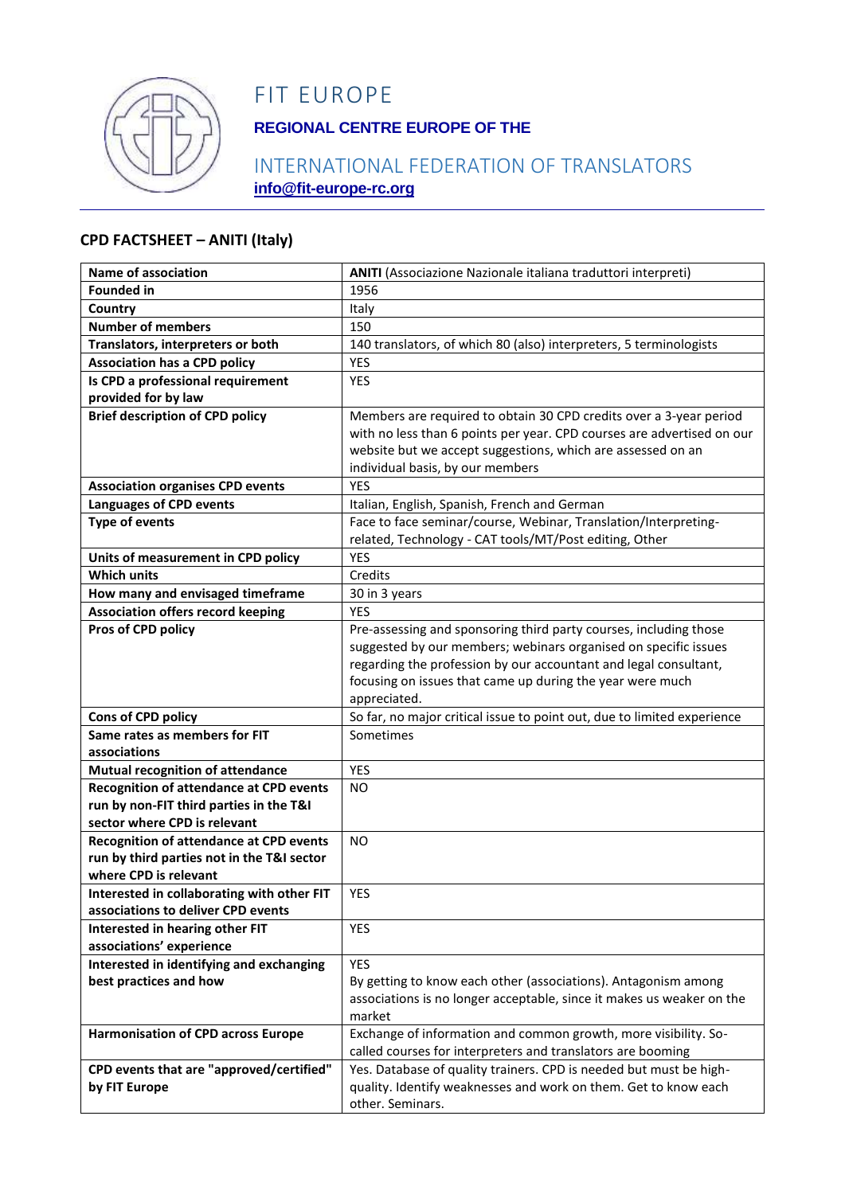

# FIT EUROPE

## **REGIONAL CENTRE EUROPE OF THE**

## INTERNATIONAL FEDERATION OF TRANSLATORS **info@fit-europe-rc.org**

#### **CPD FACTSHEET – ANITI (Italy)**

| <b>Name of association</b>                     | ANITI (Associazione Nazionale italiana traduttori interpreti)           |
|------------------------------------------------|-------------------------------------------------------------------------|
| <b>Founded in</b>                              | 1956                                                                    |
| Country                                        | Italy                                                                   |
| <b>Number of members</b>                       | 150                                                                     |
| Translators, interpreters or both              | 140 translators, of which 80 (also) interpreters, 5 terminologists      |
| <b>Association has a CPD policy</b>            | YES                                                                     |
| Is CPD a professional requirement              | <b>YES</b>                                                              |
| provided for by law                            |                                                                         |
| <b>Brief description of CPD policy</b>         | Members are required to obtain 30 CPD credits over a 3-year period      |
|                                                | with no less than 6 points per year. CPD courses are advertised on our  |
|                                                | website but we accept suggestions, which are assessed on an             |
|                                                | individual basis, by our members                                        |
| <b>Association organises CPD events</b>        | <b>YES</b>                                                              |
| <b>Languages of CPD events</b>                 | Italian, English, Spanish, French and German                            |
| <b>Type of events</b>                          | Face to face seminar/course, Webinar, Translation/Interpreting-         |
|                                                | related, Technology - CAT tools/MT/Post editing, Other                  |
| Units of measurement in CPD policy             | <b>YES</b>                                                              |
| <b>Which units</b>                             | Credits                                                                 |
| How many and envisaged timeframe               | 30 in 3 years                                                           |
| <b>Association offers record keeping</b>       | <b>YES</b>                                                              |
| Pros of CPD policy                             | Pre-assessing and sponsoring third party courses, including those       |
|                                                | suggested by our members; webinars organised on specific issues         |
|                                                | regarding the profession by our accountant and legal consultant,        |
|                                                | focusing on issues that came up during the year were much               |
|                                                | appreciated.                                                            |
| Cons of CPD policy                             | So far, no major critical issue to point out, due to limited experience |
| Same rates as members for FIT<br>associations  | Sometimes                                                               |
| Mutual recognition of attendance               | <b>YES</b>                                                              |
| Recognition of attendance at CPD events        | <b>NO</b>                                                               |
| run by non-FIT third parties in the T&I        |                                                                         |
| sector where CPD is relevant                   |                                                                         |
| <b>Recognition of attendance at CPD events</b> | <b>NO</b>                                                               |
| run by third parties not in the T&I sector     |                                                                         |
| where CPD is relevant                          |                                                                         |
| Interested in collaborating with other FIT     | YES                                                                     |
| associations to deliver CPD events             |                                                                         |
| Interested in hearing other FIT                | <b>YES</b>                                                              |
| associations' experience                       |                                                                         |
| Interested in identifying and exchanging       | <b>YES</b>                                                              |
| best practices and how                         | By getting to know each other (associations). Antagonism among          |
|                                                | associations is no longer acceptable, since it makes us weaker on the   |
|                                                | market                                                                  |
| <b>Harmonisation of CPD across Europe</b>      | Exchange of information and common growth, more visibility. So-         |
|                                                | called courses for interpreters and translators are booming             |
| CPD events that are "approved/certified"       | Yes. Database of quality trainers. CPD is needed but must be high-      |
| by FIT Europe                                  | quality. Identify weaknesses and work on them. Get to know each         |
|                                                | other. Seminars.                                                        |